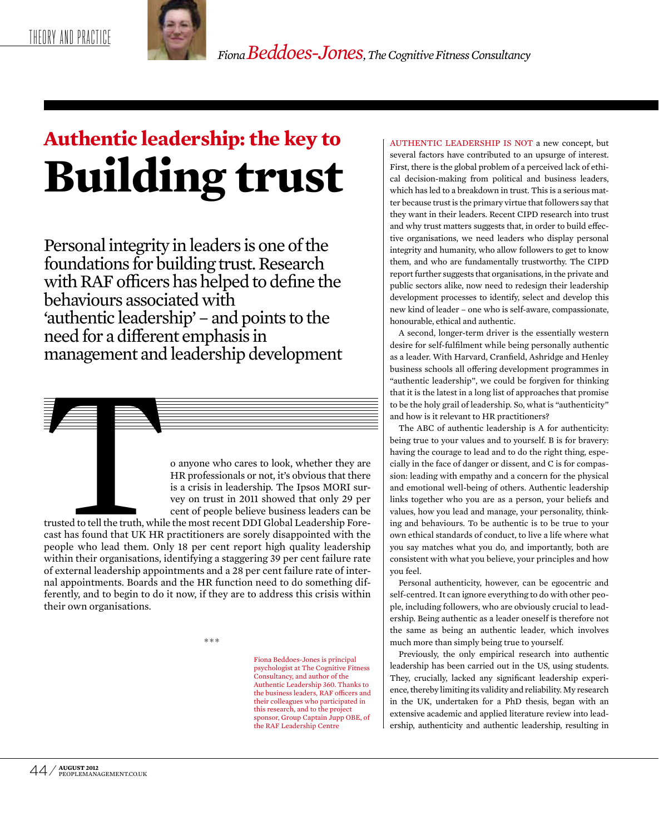

*Fiona Beddoes-Jones, The Cognitive Fitness Consultancy* 

# **Authentic leadership: the key to Building trust**

Personal integrity in leaders is one of the foundations for building trust. Research with RAF officers has helped to define the behaviours associated with 'authentic leadership' – and points to the need for a different emphasis in management and leadership development



trusted to tell the truth, while the most recent DDI Global Leadership Forecast has found that UK HR practitioners are sorely disappointed with the people who lead them. Only 18 per cent report high quality leadership within their organisations, identifying a staggering 39 per cent failure rate of external leadership appointments and a 28 per cent failure rate of internal appointments. Boards and the HR function need to do something differently, and to begin to do it now, if they are to address this crisis within their own organisations.

\*\*\*

Fiona Beddoes-Jones is principal psychologist at The Cognitive Fitness Consultancy, and author of the Authentic Leadership 360. Thanks to the business leaders, RAF officers and their colleagues who participated in this research, and to the project sponsor, Group Captain Jupp OBE, of the RAF Leadership Centre

AUTHENTIC LEADERSHIP IS NOT a new concept, but several factors have contributed to an upsurge of interest. First, there is the global problem of a perceived lack of ethical decision-making from political and business leaders, which has led to a breakdown in trust. This is a serious matter because trust is the primary virtue that followers say that they want in their leaders. Recent CIPD research into trust and why trust matters suggests that, in order to build effective organisations, we need leaders who display personal integrity and humanity, who allow followers to get to know them, and who are fundamentally trustworthy. The CIPD report further suggests that organisations, in the private and public sectors alike, now need to redesign their leadership development processes to identify, select and develop this new kind of leader – one who is self-aware, compassionate, honourable, ethical and authentic.

A second, longer-term driver is the essentially western desire for self-fulfilment while being personally authentic as a leader. With Harvard, Cranfield, Ashridge and Henley business schools all offering development programmes in "authentic leadership", we could be forgiven for thinking that it is the latest in a long list of approaches that promise to be the holy grail of leadership. So, what is "authenticity" and how is it relevant to HR practitioners?

The ABC of authentic leadership is A for authenticity: being true to your values and to yourself. B is for bravery: having the courage to lead and to do the right thing, especially in the face of danger or dissent, and C is for compassion: leading with empathy and a concern for the physical and emotional well-being of others. Authentic leadership links together who you are as a person, your beliefs and values, how you lead and manage, your personality, thinking and behaviours. To be authentic is to be true to your own ethical standards of conduct, to live a life where what you say matches what you do, and importantly, both are consistent with what you believe, your principles and how you feel.

Personal authenticity, however, can be egocentric and self-centred. It can ignore everything to do with other people, including followers, who are obviously crucial to leadership. Being authentic as a leader oneself is therefore not the same as being an authentic leader, which involves much more than simply being true to yourself.

Previously, the only empirical research into authentic leadership has been carried out in the US, using students. They, crucially, lacked any significant leadership experience, thereby limiting its validity and reliability. My research in the UK, undertaken for a PhD thesis, began with an extensive academic and applied literature review into leadership, authenticity and authentic leadership, resulting in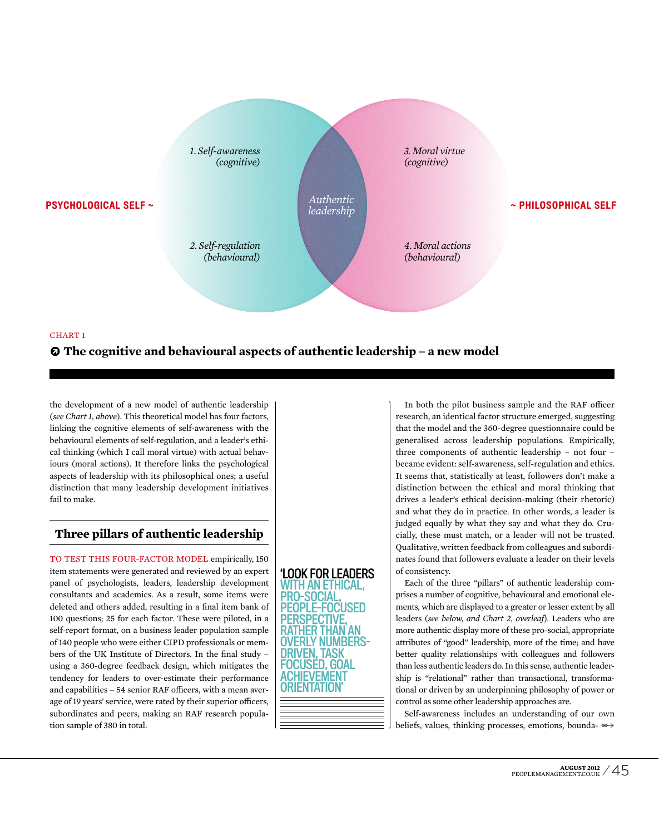

#### CHART 1

## **• The cognitive and behavioural aspects of authentic leadership – a new model**

the development of a new model of authentic leadership (*see Chart 1, above*). This theoretical model has four factors, linking the cognitive elements of self-awareness with the behavioural elements of self-regulation, and a leader's ethical thinking (which I call moral virtue) with actual behaviours (moral actions). It therefore links the psychological aspects of leadership with its philosophical ones; a useful distinction that many leadership development initiatives fail to make.

# **Three pillars of authentic leadership**

TO TEST THIS FOUR-FACTOR MODEL empirically, 150 item statements were generated and reviewed by an expert panel of psychologists, leaders, leadership development consultants and academics. As a result, some items were deleted and others added, resulting in a final item bank of 100 questions; 25 for each factor. These were piloted, in a self-report format, on a business leader population sample of 140 people who were either CIPD professionals or members of the UK Institute of Directors. In the final study – using a 360-degree feedback design, which mitigates the tendency for leaders to over-estimate their performance and capabilities – 54 senior RAF officers, with a mean average of 19 years' service, were rated by their superior officers, subordinates and peers, making an RAF research population sample of 380 in total.



In both the pilot business sample and the RAF officer research, an identical factor structure emerged, suggesting that the model and the 360-degree questionnaire could be generalised across leadership populations. Empirically, three components of authentic leadership – not four – became evident: self-awareness, self-regulation and ethics. It seems that, statistically at least, followers don't make a distinction between the ethical and moral thinking that drives a leader's ethical decision-making (their rhetoric) and what they do in practice. In other words, a leader is judged equally by what they say and what they do. Crucially, these must match, or a leader will not be trusted. Qualitative, written feedback from colleagues and subordinates found that followers evaluate a leader on their levels of consistency.

Each of the three "pillars" of authentic leadership comprises a number of cognitive, behavioural and emotional elements, which are displayed to a greater or lesser extent by all leaders (*see below, and Chart 2, overleaf*). Leaders who are more authentic display more of these pro-social, appropriate attributes of "good" leadership, more of the time; and have better quality relationships with colleagues and followers than less authentic leaders do. In this sense, authentic leadership is "relational" rather than transactional, transformational or driven by an underpinning philosophy of power or control as some other leadership approaches are.

Self-awareness includes an understanding of our own beliefs, values, thinking processes, emotions, bounda-  $\gg$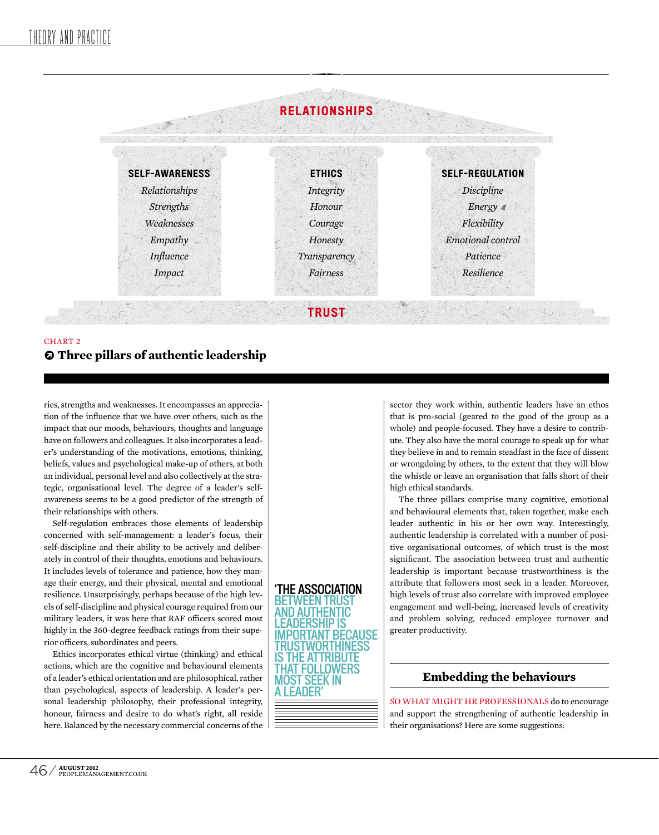

## **• Three pillars of authentic leadership** CHART 2

ries, strengths and weaknesses. It encompasses an appreciation of the influence that we have over others, such as the impact that our moods, behaviours, thoughts and language have on followers and colleagues. It also incorporates a leader's understanding of the motivations, emotions, thinking, beliefs, values and psychological make-up of others, at both an individual, personal level and also collectively at the strategic, organisational level. The degree of a leader's selfawareness seems to be a good predictor of the strength of their relationships with others.

Self-regulation embraces those elements of leadership concerned with self-management: a leader's focus, their self-discipline and their ability to be actively and deliberately in control of their thoughts, emotions and behaviours. It includes levels of tolerance and patience, how they manage their energy, and their physical, mental and emotional resilience. Unsurprisingly, perhaps because of the high levels of self-discipline and physical courage required from our military leaders, it was here that RAF officers scored most highly in the 360-degree feedback ratings from their superior officers, subordinates and peers.

Ethics incorporates ethical virtue (thinking) and ethical actions, which are the cognitive and behavioural elements of a leader's ethical orientation and are philosophical, rather than psychological, aspects of leadership. A leader's personal leadership philosophy, their professional integrity, honour, fairness and desire to do what's right, all reside here. Balanced by the necessary commercial concerns of the



sector they work within, authentic leaders have an ethos that is pro-social (geared to the good of the group as a whole) and people-focused. They have a desire to contribute. They also have the moral courage to speak up for what they believe in and to remain steadfast in the face of dissent or wrongdoing by others, to the extent that they will blow the whistle or leave an organisation that falls short of their high ethical standards.

The three pillars comprise many cognitive, emotional and behavioural elements that, taken together, make each leader authentic in his or her own way. Interestingly, authentic leadership is correlated with a number of positive organisational outcomes, of which trust is the most significant. The association between trust and authentic leadership is important because trustworthiness is the attribute that followers most seek in a leader. Moreover, high levels of trust also correlate with improved employee engagement and well-being, increased levels of creativity and problem solving, reduced employee turnover and greater productivity.

# **Embedding the behaviours**

so what might hr professionals do to encourage and support the strengthening of authentic leadership in their organisations? Here are some suggestions: